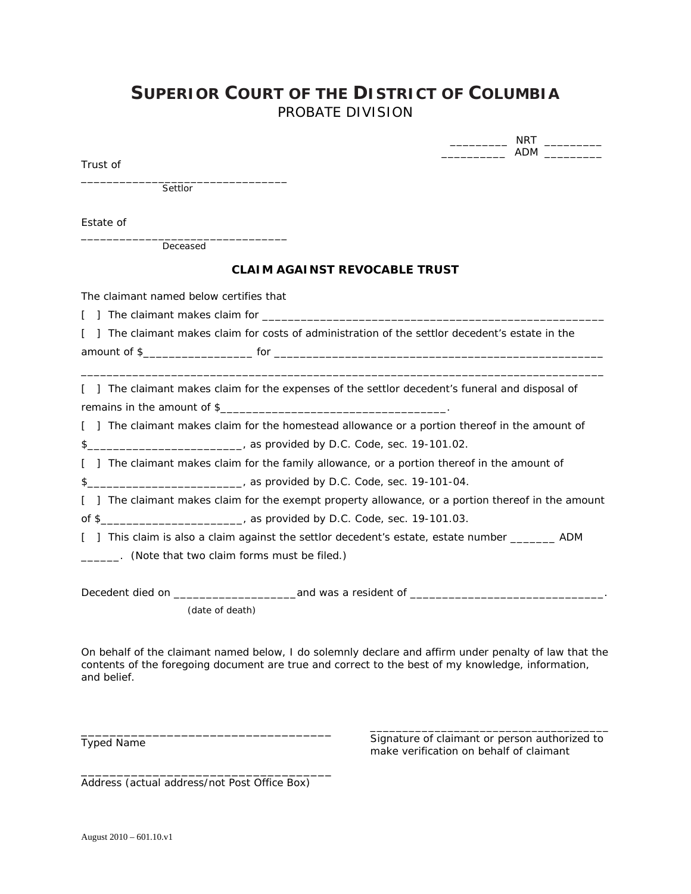## **SUPERIOR COURT OF THE DISTRICT OF COLUMBIA** PROBATE DIVISION

Trust of

\_\_\_\_\_\_\_\_\_\_\_\_\_\_\_\_\_\_\_\_\_\_\_\_\_\_\_\_\_\_\_\_ Settlor

Estate of

\_\_\_\_\_\_\_\_\_\_\_\_\_\_\_\_\_\_\_\_\_\_\_\_\_\_\_\_\_\_\_\_ Deceased

## **CLAIM AGAINST REVOCABLE TRUST**

The claimant named below certifies that

[ ] The claimant makes claim for \_\_\_\_\_\_\_\_\_\_\_\_\_\_\_\_\_\_\_\_\_\_\_\_\_\_\_\_\_\_\_\_\_\_\_\_\_\_\_\_\_\_\_\_\_\_\_\_\_\_\_\_\_

|  |              |  |     |  | [] The claimant makes claim for costs of administration of the settlor decedent's estate in the |  |  |  |
|--|--------------|--|-----|--|-------------------------------------------------------------------------------------------------|--|--|--|
|  | amount of \$ |  | for |  |                                                                                                 |  |  |  |

[ ] The claimant makes claim for the expenses of the settlor decedent's funeral and disposal of remains in the amount of \$

\_\_\_\_\_\_\_\_\_\_\_\_\_\_\_\_\_\_\_\_\_\_\_\_\_\_\_\_\_\_\_\_\_\_\_\_\_\_\_\_\_\_\_\_\_\_\_\_\_\_\_\_\_\_\_\_\_\_\_\_\_\_\_\_\_\_\_\_\_\_\_\_\_\_\_\_\_\_\_\_\_

[ ] The claimant makes claim for the homestead allowance or a portion thereof in the amount of \$\_\_\_\_\_\_\_\_\_\_\_\_\_\_\_\_\_\_\_\_\_\_\_\_\_\_\_\_\_, as provided by D.C. Code, sec. 19-101.02.

[ ] The claimant makes claim for the family allowance, or a portion thereof in the amount of

\$\_\_\_\_\_\_\_\_\_\_\_\_\_\_\_\_\_\_\_\_\_\_\_\_, as provided by D.C. Code, sec. 19-101-04.

[ ] The claimant makes claim for the exempt property allowance, or a portion thereof in the amount of \$\_\_\_\_\_\_\_\_\_\_\_\_\_\_\_\_\_\_\_\_\_\_, as provided by D.C. Code, sec. 19-101.03.

[ ] This claim is also a claim against the settlor decedent's estate, estate number \_\_\_\_\_\_\_\_\_\_ ADM

\_\_\_\_\_\_. (Note that two claim forms must be filed.)

Decedent died on example and was a resident of  $\overline{a}$ 

(date of death)

On behalf of the claimant named below, I do solemnly declare and affirm under penalty of law that the contents of the foregoing document are true and correct to the best of my knowledge, information, and belief.

Typed Name

\_\_\_\_\_\_\_\_\_\_\_\_\_\_\_\_\_\_\_\_\_\_\_\_\_\_\_\_\_\_\_\_\_\_\_\_\_ Signature of claimant or person authorized to make verification on behalf of claimant

\_\_\_\_\_\_\_\_\_\_\_\_\_\_\_ NRT \_\_\_\_\_\_\_\_\_\_\_\_\_ \_\_\_\_\_\_\_\_\_\_ ADM \_\_\_\_\_\_\_\_\_

Address (actual address/not Post Office Box)

\_\_\_\_\_\_\_\_\_\_\_\_\_\_\_\_\_\_\_\_\_\_\_\_\_\_\_\_\_\_\_\_\_\_\_

\_\_\_\_\_\_\_\_\_\_\_\_\_\_\_\_\_\_\_\_\_\_\_\_\_\_\_\_\_\_\_\_\_\_\_